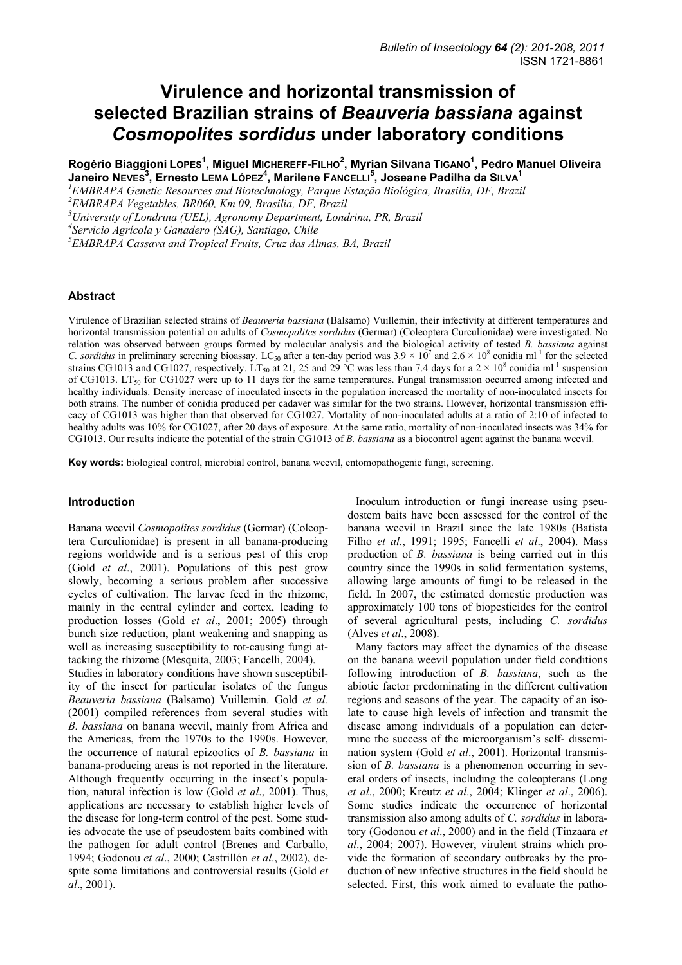# **Virulence and horizontal transmission of selected Brazilian strains of** *Beauveria bassiana* **against**  *Cosmopolites sordidus* **under laboratory conditions**

**Rogério Biaggioni LOPES<sup>1</sup> , Miguel MICHEREFF-FILHO<sup>2</sup> , Myrian Silvana TIGANO<sup>1</sup> , Pedro Manuel Oliveira Janeiro NEVES<sup>3</sup> , Ernesto LEMA LÓPEZ4 , Marilene FANCELLI<sup>5</sup> , Joseane Padilha da SILVA1**

<sup>1</sup> EMBRAPA Genetic Resources and Biotechnology, Parque Estação Biológica, Brasilia, DF, Brazil<br><sup>2</sup> EMBRAPA Venetables, BRO60, *V*m, 00, Bussilia, DE, Bussil

*University of Londrina (UEL), Agronomy Department, Londrina, PR, Brazil* 

*5 EMBRAPA Cassava and Tropical Fruits, Cruz das Almas, BA, Brazil* 

## **Abstract**

Virulence of Brazilian selected strains of *Beauveria bassiana* (Balsamo) Vuillemin, their infectivity at different temperatures and horizontal transmission potential on adults of *Cosmopolites sordidus* (Germar) (Coleoptera Curculionidae) were investigated. No relation was observed between groups formed by molecular analysis and the biological activity of tested *B. bassiana* against *C. sordidus* in preliminary screening bioassay. LC<sub>50</sub> after a ten-day period was  $3.9 \times 10^7$  and  $2.6 \times 10^8$  conidia ml<sup>-1</sup> for the selected strains CG1013 and CG1027, respectively. LT<sub>50</sub> at 21, 25 and 29<sup>°</sup>C was less than 7.4 days for a 2  $\times$  10<sup>8</sup> conidia ml<sup>-1</sup> suspension of CG1013. LT<sub>50</sub> for CG1027 were up to 11 days for the same temperatures. Fungal transmission occurred among infected and healthy individuals. Density increase of inoculated insects in the population increased the mortality of non-inoculated insects for both strains. The number of conidia produced per cadaver was similar for the two strains. However, horizontal transmission efficacy of CG1013 was higher than that observed for CG1027. Mortality of non-inoculated adults at a ratio of 2:10 of infected to healthy adults was 10% for CG1027, after 20 days of exposure. At the same ratio, mortality of non-inoculated insects was 34% for CG1013. Our results indicate the potential of the strain CG1013 of *B. bassiana* as a biocontrol agent against the banana weevil.

**Key words:** biological control, microbial control, banana weevil, entomopathogenic fungi, screening.

## **Introduction**

Banana weevil *Cosmopolites sordidus* (Germar) (Coleoptera Curculionidae) is present in all banana-producing regions worldwide and is a serious pest of this crop (Gold *et al*., 2001). Populations of this pest grow slowly, becoming a serious problem after successive cycles of cultivation. The larvae feed in the rhizome, mainly in the central cylinder and cortex, leading to production losses (Gold *et al*., 2001; 2005) through bunch size reduction, plant weakening and snapping as well as increasing susceptibility to rot-causing fungi attacking the rhizome (Mesquita, 2003; Fancelli, 2004).

Studies in laboratory conditions have shown susceptibility of the insect for particular isolates of the fungus *Beauveria bassiana* (Balsamo) Vuillemin. Gold *et al.* (2001) compiled references from several studies with *B. bassiana* on banana weevil, mainly from Africa and the Americas, from the 1970s to the 1990s. However, the occurrence of natural epizootics of *B. bassiana* in banana-producing areas is not reported in the literature. Although frequently occurring in the insect's population, natural infection is low (Gold *et al*., 2001). Thus, applications are necessary to establish higher levels of the disease for long-term control of the pest. Some studies advocate the use of pseudostem baits combined with the pathogen for adult control (Brenes and Carballo, 1994; Godonou *et al*., 2000; Castrillón *et al*., 2002), despite some limitations and controversial results (Gold *et al*., 2001).

Inoculum introduction or fungi increase using pseudostem baits have been assessed for the control of the banana weevil in Brazil since the late 1980s (Batista Filho *et al*., 1991; 1995; Fancelli *et al*., 2004). Mass production of *B. bassiana* is being carried out in this country since the 1990s in solid fermentation systems, allowing large amounts of fungi to be released in the field. In 2007, the estimated domestic production was approximately 100 tons of biopesticides for the control of several agricultural pests, including *C. sordidus* (Alves *et al*., 2008).

Many factors may affect the dynamics of the disease on the banana weevil population under field conditions following introduction of *B. bassiana*, such as the abiotic factor predominating in the different cultivation regions and seasons of the year. The capacity of an isolate to cause high levels of infection and transmit the disease among individuals of a population can determine the success of the microorganism's self- dissemination system (Gold *et al*., 2001). Horizontal transmission of *B. bassiana* is a phenomenon occurring in several orders of insects, including the coleopterans (Long *et al*., 2000; Kreutz *et al*., 2004; Klinger *et al*., 2006). Some studies indicate the occurrence of horizontal transmission also among adults of *C. sordidus* in laboratory (Godonou *et al*., 2000) and in the field (Tinzaara *et al*., 2004; 2007). However, virulent strains which provide the formation of secondary outbreaks by the production of new infective structures in the field should be selected. First, this work aimed to evaluate the patho-

<sup>&</sup>lt;sup>2</sup> EMBRAPA Vegetables, BR060, Km 09, Brasilia, DF, Brazil

*<sup>4</sup> Servicio Agrícola y Ganadero (SAG), Santiago, Chile*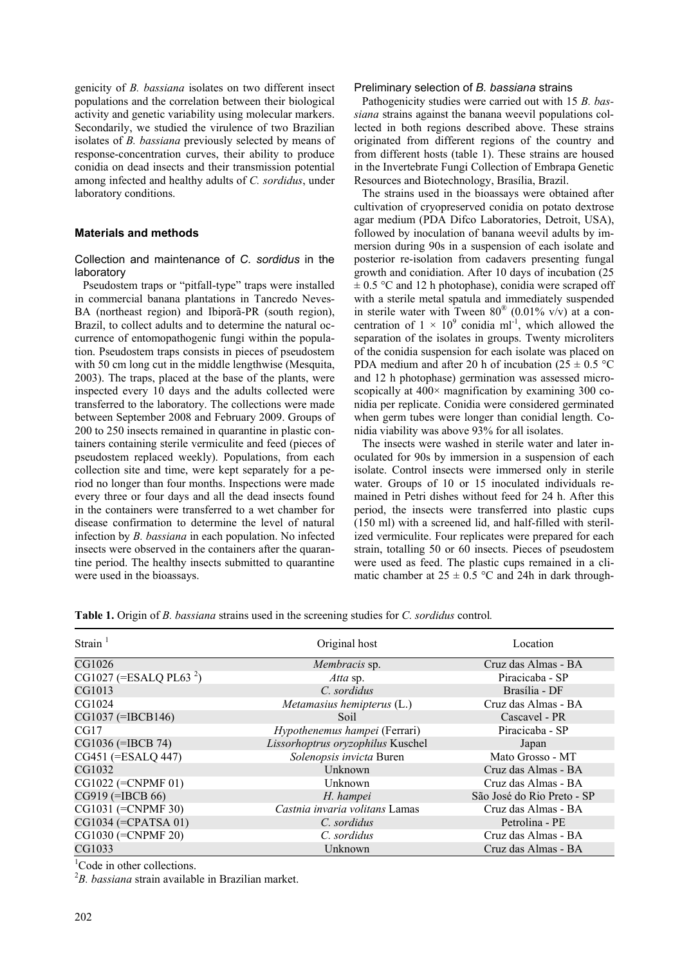genicity of *B. bassiana* isolates on two different insect populations and the correlation between their biological activity and genetic variability using molecular markers. Secondarily, we studied the virulence of two Brazilian isolates of *B. bassiana* previously selected by means of response-concentration curves, their ability to produce conidia on dead insects and their transmission potential among infected and healthy adults of *C. sordidus*, under laboratory conditions.

## **Materials and methods**

# Collection and maintenance of *C. sordidus* in the laboratory

Pseudostem traps or "pitfall-type" traps were installed in commercial banana plantations in Tancredo Neves-BA (northeast region) and Ibiporã-PR (south region), Brazil, to collect adults and to determine the natural occurrence of entomopathogenic fungi within the population. Pseudostem traps consists in pieces of pseudostem with 50 cm long cut in the middle lengthwise (Mesquita, 2003). The traps, placed at the base of the plants, were inspected every 10 days and the adults collected were transferred to the laboratory. The collections were made between September 2008 and February 2009. Groups of 200 to 250 insects remained in quarantine in plastic containers containing sterile vermiculite and feed (pieces of pseudostem replaced weekly). Populations, from each collection site and time, were kept separately for a period no longer than four months. Inspections were made every three or four days and all the dead insects found in the containers were transferred to a wet chamber for disease confirmation to determine the level of natural infection by *B. bassiana* in each population. No infected insects were observed in the containers after the quarantine period. The healthy insects submitted to quarantine were used in the bioassays.

#### Preliminary selection of *B. bassiana* strains

Pathogenicity studies were carried out with 15 *B. bassiana* strains against the banana weevil populations collected in both regions described above. These strains originated from different regions of the country and from different hosts (table 1). These strains are housed in the Invertebrate Fungi Collection of Embrapa Genetic Resources and Biotechnology, Brasília, Brazil.

The strains used in the bioassays were obtained after cultivation of cryopreserved conidia on potato dextrose agar medium (PDA Difco Laboratories, Detroit, USA), followed by inoculation of banana weevil adults by immersion during 90s in a suspension of each isolate and posterior re-isolation from cadavers presenting fungal growth and conidiation. After 10 days of incubation (25  $\pm$  0.5 °C and 12 h photophase), conidia were scraped off with a sterile metal spatula and immediately suspended in sterile water with Tween  $80^{\circ}$  (0.01% v/v) at a concentration of  $1 \times 10^9$  conidia ml<sup>-1</sup>, which allowed the separation of the isolates in groups. Twenty microliters of the conidia suspension for each isolate was placed on PDA medium and after 20 h of incubation ( $25 \pm 0.5$  °C and 12 h photophase) germination was assessed microscopically at 400 $\times$  magnification by examining 300 conidia per replicate. Conidia were considered germinated when germ tubes were longer than conidial length. Conidia viability was above 93% for all isolates.

The insects were washed in sterile water and later inoculated for 90s by immersion in a suspension of each isolate. Control insects were immersed only in sterile water. Groups of 10 or 15 inoculated individuals remained in Petri dishes without feed for 24 h. After this period, the insects were transferred into plastic cups (150 ml) with a screened lid, and half-filled with sterilized vermiculite. Four replicates were prepared for each strain, totalling 50 or 60 insects. Pieces of pseudostem were used as feed. The plastic cups remained in a climatic chamber at  $25 \pm 0.5$  °C and 24h in dark through-

| Strain $1$                           | Original host                     | Location                   |  |
|--------------------------------------|-----------------------------------|----------------------------|--|
| CG1026                               | <i>Membracis</i> sp.              | Cruz das Almas - BA        |  |
| $CG1027$ (=ESALQ PL63 <sup>2</sup> ) | Atta sp.                          | Piracicaba - SP            |  |
| CG1013                               | C. sordidus                       | Brasília - DF              |  |
| CG1024                               | Metamasius hemipterus $(L)$       | Cruz das Almas - BA        |  |
| CG1037 (=IBCB146)                    | Soil                              | Cascavel - PR              |  |
| CG17                                 | Hypothenemus hampei (Ferrari)     | Piracicaba - SP            |  |
| CG1036 (=IBCB 74)                    | Lissorhoptrus oryzophilus Kuschel | Japan                      |  |
| CG451 (=ESALQ 447)                   | Solenopsis invicta Buren          | Mato Grosso - MT           |  |
| CG1032                               | Unknown                           | Cruz das Almas - BA        |  |
| CG1022 (=CNPMF 01)                   | Unknown                           | Cruz das Almas - BA        |  |
| CG919 (=IBCB 66)                     | H. hampei                         | São José do Rio Preto - SP |  |
| CG1031 (=CNPMF 30)                   | Castnia invaria volitans Lamas    | Cruz das Almas - BA        |  |
| CG1034 (=CPATSA 01)                  | C. sordidus                       | Petrolina - PE             |  |
| CG1030 (=CNPMF 20)                   | C. sordidus                       | Cruz das Almas - BA        |  |
| CG1033                               | Unknown                           | Cruz das Almas - BA        |  |

**Table 1.** Origin of *B. bassiana* strains used in the screening studies for *C. sordidus* control*.* 

<sup>1</sup>Code in other collections.

2 *B. bassiana* strain available in Brazilian market.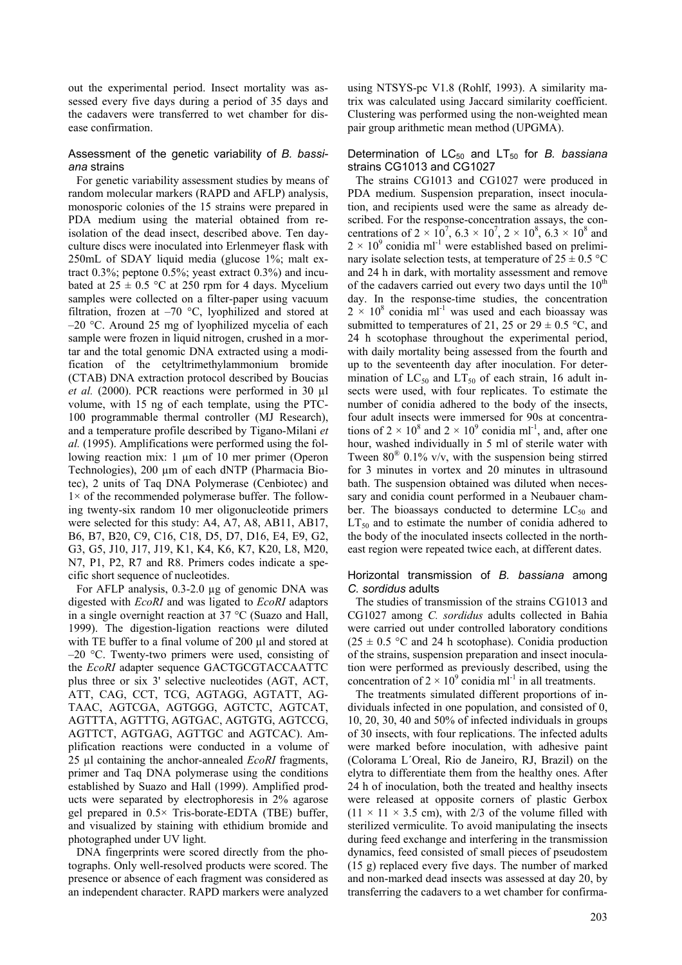out the experimental period. Insect mortality was assessed every five days during a period of 35 days and the cadavers were transferred to wet chamber for disease confirmation.

#### Assessment of the genetic variability of *B. bassiana* strains

For genetic variability assessment studies by means of random molecular markers (RAPD and AFLP) analysis, monosporic colonies of the 15 strains were prepared in PDA medium using the material obtained from reisolation of the dead insect, described above. Ten dayculture discs were inoculated into Erlenmeyer flask with 250mL of SDAY liquid media (glucose 1%; malt extract 0.3%; peptone 0.5%; yeast extract 0.3%) and incubated at  $25 \pm 0.5$  °C at 250 rpm for 4 days. Mycelium samples were collected on a filter-paper using vacuum filtration, frozen at  $-70$  °C, lyophilized and stored at  $-20$  °C. Around 25 mg of lyophilized mycelia of each sample were frozen in liquid nitrogen, crushed in a mortar and the total genomic DNA extracted using a modification of the cetyltrimethylammonium bromide (CTAB) DNA extraction protocol described by Boucias *et al.* (2000). PCR reactions were performed in 30 µl volume, with 15 ng of each template, using the PTC-100 programmable thermal controller (MJ Research), and a temperature profile described by Tigano-Milani *et al.* (1995). Amplifications were performed using the following reaction mix: 1 µm of 10 mer primer (Operon Technologies), 200 µm of each dNTP (Pharmacia Biotec), 2 units of Taq DNA Polymerase (Cenbiotec) and  $1\times$  of the recommended polymerase buffer. The following twenty-six random 10 mer oligonucleotide primers were selected for this study: A4, A7, A8, AB11, AB17, B6, B7, B20, C9, C16, C18, D5, D7, D16, E4, E9, G2, G3, G5, J10, J17, J19, K1, K4, K6, K7, K20, L8, M20, N7, P1, P2, R7 and R8. Primers codes indicate a specific short sequence of nucleotides.

For AFLP analysis, 0.3-2.0 µg of genomic DNA was digested with *EcoRI* and was ligated to *EcoRI* adaptors in a single overnight reaction at 37 °C (Suazo and Hall, 1999). The digestion-ligation reactions were diluted with TE buffer to a final volume of 200 µl and stored at –20 °C. Twenty-two primers were used, consisting of the *EcoRI* adapter sequence GACTGCGTACCAATTC plus three or six 3' selective nucleotides (AGT, ACT, ATT, CAG, CCT, TCG, AGTAGG, AGTATT, AG-TAAC, AGTCGA, AGTGGG, AGTCTC, AGTCAT, AGTTTA, AGTTTG, AGTGAC, AGTGTG, AGTCCG, AGTTCT, AGTGAG, AGTTGC and AGTCAC). Amplification reactions were conducted in a volume of 25 µl containing the anchor-annealed *EcoRI* fragments, primer and Taq DNA polymerase using the conditions established by Suazo and Hall (1999). Amplified products were separated by electrophoresis in 2% agarose gel prepared in 0.5× Tris-borate-EDTA (TBE) buffer, and visualized by staining with ethidium bromide and photographed under UV light.

DNA fingerprints were scored directly from the photographs. Only well-resolved products were scored. The presence or absence of each fragment was considered as an independent character. RAPD markers were analyzed

using NTSYS-pc V1.8 (Rohlf, 1993). A similarity matrix was calculated using Jaccard similarity coefficient. Clustering was performed using the non-weighted mean pair group arithmetic mean method (UPGMA).

#### Determination of LC<sub>50</sub> and LT<sub>50</sub> for *B. bassiana* strains CG1013 and CG1027

The strains CG1013 and CG1027 were produced in PDA medium. Suspension preparation, insect inoculation, and recipients used were the same as already described. For the response-concentration assays, the concentrations of  $2 \times 10^7$ ,  $6.3 \times 10^7$ ,  $2 \times 10^8$ ,  $6.3 \times 10^8$  and  $2 \times 10^{9}$  conidia ml<sup>-1</sup> were established based on preliminary isolate selection tests, at temperature of  $25 \pm 0.5$  °C and 24 h in dark, with mortality assessment and remove of the cadavers carried out every two days until the  $10<sup>th</sup>$ day. In the response-time studies, the concentration  $2 \times 10^8$  conidia ml<sup>-1</sup> was used and each bioassay was submitted to temperatures of 21, 25 or  $29 \pm 0.5$  °C, and 24 h scotophase throughout the experimental period, with daily mortality being assessed from the fourth and up to the seventeenth day after inoculation. For determination of  $LC_{50}$  and  $LT_{50}$  of each strain, 16 adult insects were used, with four replicates. To estimate the number of conidia adhered to the body of the insects, four adult insects were immersed for 90s at concentrations of  $2 \times 10^8$  and  $2 \times 10^9$  conidia ml<sup>-1</sup>, and, after one hour, washed individually in 5 ml of sterile water with Tween  $80^{\circ}$  0.1% v/v, with the suspension being stirred for 3 minutes in vortex and 20 minutes in ultrasound bath. The suspension obtained was diluted when necessary and conidia count performed in a Neubauer chamber. The bioassays conducted to determine  $LC_{50}$  and  $LT_{50}$  and to estimate the number of conidia adhered to the body of the inoculated insects collected in the northeast region were repeated twice each, at different dates.

### Horizontal transmission of *B. bassiana* among *C. sordidus* adults

The studies of transmission of the strains CG1013 and CG1027 among *C. sordidus* adults collected in Bahia were carried out under controlled laboratory conditions  $(25 \pm 0.5 \degree C$  and 24 h scotophase). Conidia production of the strains, suspension preparation and insect inoculation were performed as previously described, using the concentration of  $2 \times 10^9$  conidia ml<sup>-1</sup> in all treatments.

The treatments simulated different proportions of individuals infected in one population, and consisted of 0, 10, 20, 30, 40 and 50% of infected individuals in groups of 30 insects, with four replications. The infected adults were marked before inoculation, with adhesive paint (Colorama L´Oreal, Rio de Janeiro, RJ, Brazil) on the elytra to differentiate them from the healthy ones. After 24 h of inoculation, both the treated and healthy insects were released at opposite corners of plastic Gerbox  $(11 \times 11 \times 3.5$  cm), with 2/3 of the volume filled with sterilized vermiculite. To avoid manipulating the insects during feed exchange and interfering in the transmission dynamics, feed consisted of small pieces of pseudostem (15 g) replaced every five days. The number of marked and non-marked dead insects was assessed at day 20, by transferring the cadavers to a wet chamber for confirma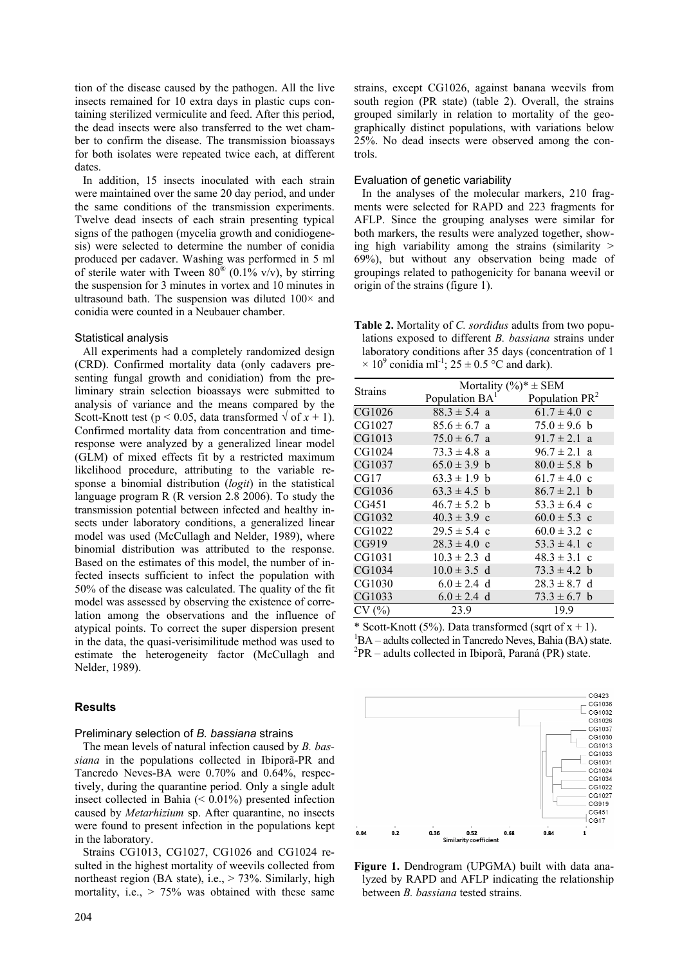tion of the disease caused by the pathogen. All the live insects remained for 10 extra days in plastic cups containing sterilized vermiculite and feed. After this period, the dead insects were also transferred to the wet chamber to confirm the disease. The transmission bioassays for both isolates were repeated twice each, at different dates.

In addition, 15 insects inoculated with each strain were maintained over the same 20 day period, and under the same conditions of the transmission experiments. Twelve dead insects of each strain presenting typical signs of the pathogen (mycelia growth and conidiogenesis) were selected to determine the number of conidia produced per cadaver. Washing was performed in 5 ml of sterile water with Tween  $80^{\circ}$  (0.1% v/v), by stirring the suspension for 3 minutes in vortex and 10 minutes in ultrasound bath. The suspension was diluted  $100\times$  and conidia were counted in a Neubauer chamber.

### Statistical analysis

All experiments had a completely randomized design (CRD). Confirmed mortality data (only cadavers presenting fungal growth and conidiation) from the preliminary strain selection bioassays were submitted to analysis of variance and the means compared by the Scott-Knott test ( $p < 0.05$ , data transformed  $\sqrt{af} x + 1$ ). Confirmed mortality data from concentration and timeresponse were analyzed by a generalized linear model (GLM) of mixed effects fit by a restricted maximum likelihood procedure, attributing to the variable response a binomial distribution (*logit*) in the statistical language program R (R version 2.8 2006). To study the transmission potential between infected and healthy insects under laboratory conditions, a generalized linear model was used (McCullagh and Nelder, 1989), where binomial distribution was attributed to the response. Based on the estimates of this model, the number of infected insects sufficient to infect the population with 50% of the disease was calculated. The quality of the fit model was assessed by observing the existence of correlation among the observations and the influence of atypical points. To correct the super dispersion present in the data, the quasi-verisimilitude method was used to estimate the heterogeneity factor (McCullagh and Nelder, 1989).

# **Results**

### Preliminary selection of *B. bassiana* strains

The mean levels of natural infection caused by *B. bassiana* in the populations collected in Ibiporã-PR and Tancredo Neves-BA were 0.70% and 0.64%, respectively, during the quarantine period. Only a single adult insect collected in Bahia (< 0.01%) presented infection caused by *Metarhizium* sp. After quarantine, no insects were found to present infection in the populations kept in the laboratory.

Strains CG1013, CG1027, CG1026 and CG1024 resulted in the highest mortality of weevils collected from northeast region (BA state), i.e.,  $> 73\%$ . Similarly, high mortality, i.e.,  $> 75\%$  was obtained with these same strains, except CG1026, against banana weevils from south region (PR state) (table 2). Overall, the strains grouped similarly in relation to mortality of the geographically distinct populations, with variations below 25%. No dead insects were observed among the controls.

#### Evaluation of genetic variability

In the analyses of the molecular markers, 210 fragments were selected for RAPD and 223 fragments for AFLP. Since the grouping analyses were similar for both markers, the results were analyzed together, showing high variability among the strains (similarity  $>$ 69%), but without any observation being made of groupings related to pathogenicity for banana weevil or origin of the strains (figure 1).

**Table 2.** Mortality of *C. sordidus* adults from two populations exposed to different *B. bassiana* strains under laboratory conditions after 35 days (concentration of 1  $\times$  10<sup>9</sup> conidia ml<sup>-1</sup>; 25 ± 0.5 °C and dark).

|                | Mortality $(\%)^*$ $\pm$ SEM |                   |  |  |
|----------------|------------------------------|-------------------|--|--|
| <b>Strains</b> | Population $BA1$             | Population $PR^2$ |  |  |
| CG1026         | $88.3 \pm 5.4$ a             | $61.7 \pm 4.0$ c  |  |  |
| CG1027         | $85.6 \pm 6.7$ a             | $75.0 \pm 9.6$ b  |  |  |
| CG1013         | $75.0 \pm 6.7$ a             | $91.7 \pm 2.1$ a  |  |  |
| CG1024         | $73.3 \pm 4.8$ a             | $96.7 \pm 2.1$ a  |  |  |
| CG1037         | $65.0 \pm 3.9$ b             | $80.0 \pm 5.8$ b  |  |  |
| CG17           | $63.3 \pm 1.9$ b             | $61.7 \pm 4.0$ c  |  |  |
| CG1036         | $63.3 \pm 4.5$ b             | $86.7 \pm 2.1$ b  |  |  |
| CG451          | $46.7 \pm 5.2$ b             | $53.3 \pm 6.4$ c  |  |  |
| CG1032         | $40.3 \pm 3.9$ c             | $60.0 \pm 5.3$ c  |  |  |
| CG1022         | $29.5 \pm 5.4$ c             | $60.0 \pm 3.2$ c  |  |  |
| CG919          | $28.3 \pm 4.0$ c             | $53.3 \pm 4.1$ c  |  |  |
| CG1031         | $10.3 \pm 2.3$ d             | $48.3 \pm 3.1$ c  |  |  |
| CG1034         | $10.0 \pm 3.5$ d             | $73.3 \pm 4.2$ b  |  |  |
| CG1030         | $6.0 \pm 2.4$ d              | $28.3 \pm 8.7$ d  |  |  |
| CG1033         | $6.0 \pm 2.4$ d              | $73.3 \pm 6.7$ b  |  |  |
| CV(%)          | 23.9                         | 19.9              |  |  |

\* Scott-Knott (5%). Data transformed (sqrt of  $x + 1$ ).  ${}^{1}BA$  – adults collected in Tancredo Neves, Bahia (BA) state.<br> ${}^{2}DB$  – edults collected in Thinory Berené (BB) state.  $PPR -$ adults collected in Ibiporã, Paraná (PR) state.



**Figure 1.** Dendrogram (UPGMA) built with data analyzed by RAPD and AFLP indicating the relationship between *B. bassiana* tested strains.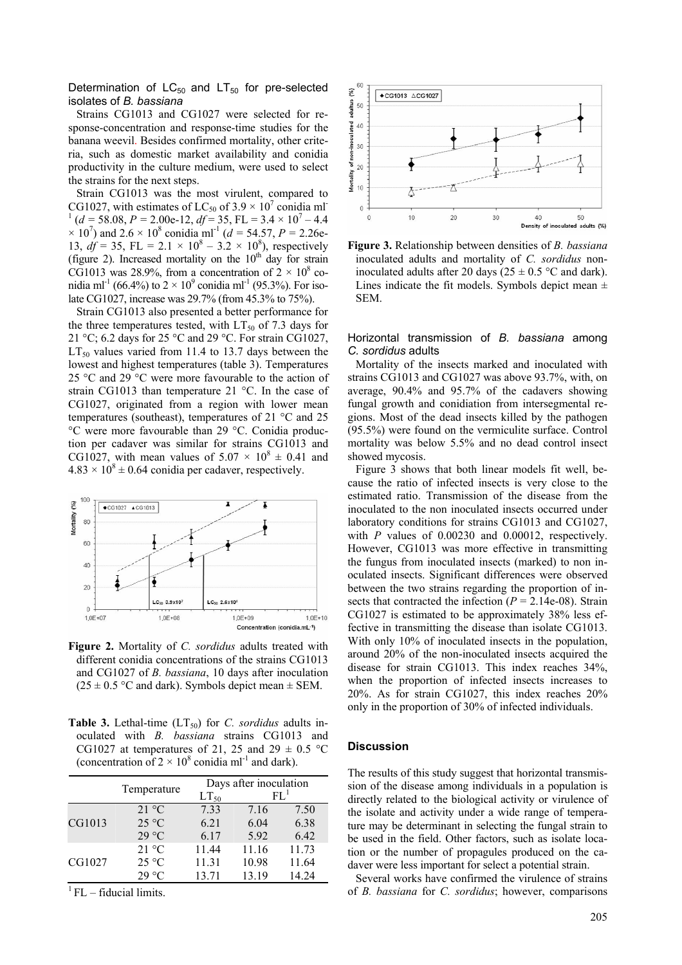Determination of  $LC_{50}$  and  $LT_{50}$  for pre-selected isolates of *B. bassiana*

Strains CG1013 and CG1027 were selected for response-concentration and response-time studies for the banana weevil. Besides confirmed mortality, other criteria, such as domestic market availability and conidia productivity in the culture medium, were used to select the strains for the next steps.

Strain CG1013 was the most virulent, compared to CG1027, with estimates of LC<sub>50</sub> of  $3.9 \times 10^7$  conidia ml<sup>-</sup>  $1 (d = 58.08, P = 2.00e-12, df = 35, FL = 3.4 \times 10^7 - 4.4$  $\times$  10<sup>7</sup>) and 2.6  $\times$  10<sup>8</sup> conidia ml<sup>-1</sup> (*d* = 54.57, *P* = 2.26e-13,  $df = 35$ , FL = 2.1  $\times$  10<sup>8</sup> – 3.2  $\times$  10<sup>8</sup>), respectively (figure 2). Increased mortality on the  $10<sup>th</sup>$  day for strain CG1013 was 28.9%, from a concentration of  $2 \times 10^8$  conidia ml<sup>-1</sup> (66.4%) to  $2 \times 10^9$  conidia ml<sup>-1</sup> (95.3%). For isolate CG1027, increase was 29.7% (from 45.3% to 75%).

Strain CG1013 also presented a better performance for the three temperatures tested, with  $LT_{50}$  of 7.3 days for 21 °C; 6.2 days for 25 °C and 29 °C. For strain CG1027,  $LT_{50}$  values varied from 11.4 to 13.7 days between the lowest and highest temperatures (table 3). Temperatures 25 °C and 29 °C were more favourable to the action of strain CG1013 than temperature 21 °C. In the case of CG1027, originated from a region with lower mean temperatures (southeast), temperatures of 21 °C and 25 °C were more favourable than 29 °C. Conidia production per cadaver was similar for strains CG1013 and CG1027, with mean values of  $5.07 \times 10^8 \pm 0.41$  and  $4.83 \times 10^8 \pm 0.64$  conidia per cadaver, respectively.



**Figure 2.** Mortality of *C. sordidus* adults treated with different conidia concentrations of the strains CG1013 and CG1027 of *B. bassiana*, 10 days after inoculation  $(25 \pm 0.5 \degree C$  and dark). Symbols depict mean  $\pm$  SEM.

**Table 3.** Lethal-time  $(LT_{50})$  for *C. sordidus* adults inoculated with *B. bassiana* strains CG1013 and CG1027 at temperatures of 21, 25 and 29  $\pm$  0.5 °C (concentration of  $2 \times 10^8$  conidia ml<sup>-1</sup> and dark).

|        | Temperature     | Days after inoculation |        |       |
|--------|-----------------|------------------------|--------|-------|
|        |                 | $LT_{50}$              | $FL^1$ |       |
| CG1013 | 21 °C           | 7.33                   | 7.16   | 7.50  |
|        | $25^{\circ}$ C  | 6.21                   | 6.04   | 6.38  |
|        | $29^{\circ}$ C  | 6.17                   | 5.92   | 6.42  |
| CG1027 | $21 \text{ °C}$ | 11.44                  | 11.16  | 11.73 |
|        | 25 °C           | 11.31                  | 10.98  | 11.64 |
|        | $29^{\circ}$ C  | 13.71                  | 13.19  | 14.24 |

 ${}^{1}$  FL – fiducial limits.





Horizontal transmission of *B. bassiana* among *C. sordidus* adults

Mortality of the insects marked and inoculated with strains CG1013 and CG1027 was above 93.7%, with, on average, 90.4% and 95.7% of the cadavers showing fungal growth and conidiation from intersegmental regions. Most of the dead insects killed by the pathogen (95.5%) were found on the vermiculite surface. Control mortality was below 5.5% and no dead control insect showed mycosis.

Figure 3 shows that both linear models fit well, because the ratio of infected insects is very close to the estimated ratio. Transmission of the disease from the inoculated to the non inoculated insects occurred under laboratory conditions for strains CG1013 and CG1027, with *P* values of 0.00230 and 0.00012, respectively. However, CG1013 was more effective in transmitting the fungus from inoculated insects (marked) to non inoculated insects. Significant differences were observed between the two strains regarding the proportion of insects that contracted the infection  $(P = 2.14e-08)$ . Strain CG1027 is estimated to be approximately 38% less effective in transmitting the disease than isolate CG1013. With only 10% of inoculated insects in the population, around 20% of the non-inoculated insects acquired the disease for strain CG1013. This index reaches 34%, when the proportion of infected insects increases to 20%. As for strain CG1027, this index reaches 20% only in the proportion of 30% of infected individuals.

# **Discussion**

The results of this study suggest that horizontal transmission of the disease among individuals in a population is directly related to the biological activity or virulence of the isolate and activity under a wide range of temperature may be determinant in selecting the fungal strain to be used in the field. Other factors, such as isolate location or the number of propagules produced on the cadaver were less important for select a potential strain.

Several works have confirmed the virulence of strains of *B. bassiana* for *C. sordidus*; however, comparisons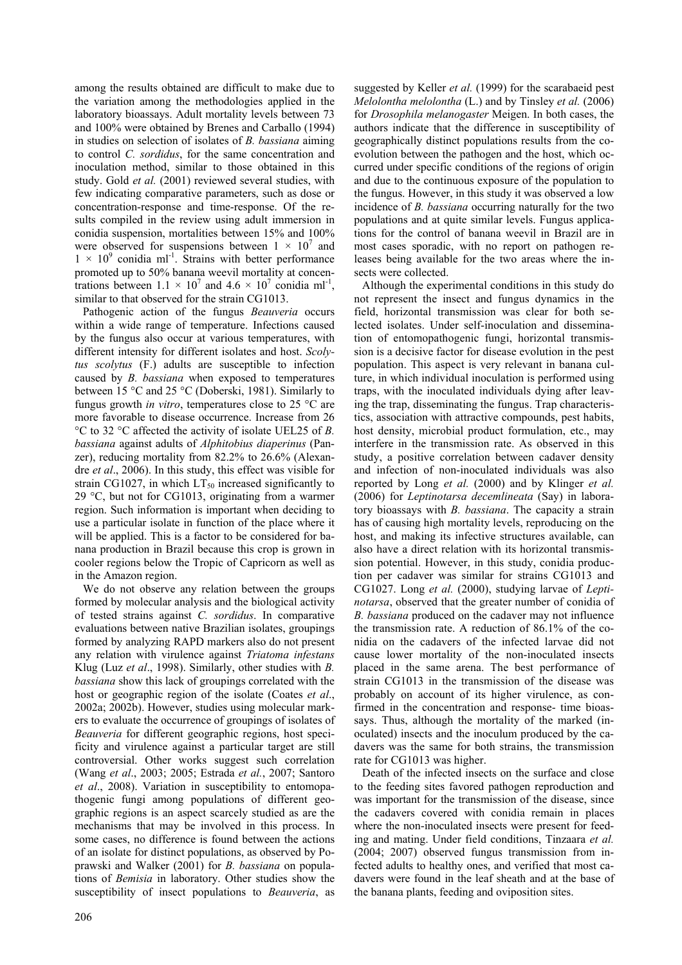among the results obtained are difficult to make due to the variation among the methodologies applied in the laboratory bioassays. Adult mortality levels between 73 and 100% were obtained by Brenes and Carballo (1994) in studies on selection of isolates of *B. bassiana* aiming to control *C. sordidus*, for the same concentration and inoculation method, similar to those obtained in this study. Gold *et al.* (2001) reviewed several studies, with few indicating comparative parameters, such as dose or concentration-response and time-response. Of the results compiled in the review using adult immersion in conidia suspension, mortalities between 15% and 100% were observed for suspensions between  $1 \times 10^7$  and  $1 \times 10^9$  conidia ml<sup>-1</sup>. Strains with better performance promoted up to 50% banana weevil mortality at concentrations between  $1.1 \times 10^7$  and  $4.6 \times 10^7$  conidia ml<sup>-1</sup>, similar to that observed for the strain CG1013.

Pathogenic action of the fungus *Beauveria* occurs within a wide range of temperature. Infections caused by the fungus also occur at various temperatures, with different intensity for different isolates and host. *Scolytus scolytus* (F.) adults are susceptible to infection caused by *B. bassiana* when exposed to temperatures between 15 °C and 25 °C (Doberski, 1981). Similarly to fungus growth *in vitro*, temperatures close to 25 °C are more favorable to disease occurrence. Increase from 26 °C to 32 °C affected the activity of isolate UEL25 of *B. bassiana* against adults of *Alphitobius diaperinus* (Panzer), reducing mortality from 82.2% to 26.6% (Alexandre *et al*., 2006). In this study, this effect was visible for strain CG1027, in which  $LT_{50}$  increased significantly to 29 °C, but not for CG1013, originating from a warmer region. Such information is important when deciding to use a particular isolate in function of the place where it will be applied. This is a factor to be considered for banana production in Brazil because this crop is grown in cooler regions below the Tropic of Capricorn as well as in the Amazon region.

We do not observe any relation between the groups formed by molecular analysis and the biological activity of tested strains against *C. sordidus*. In comparative evaluations between native Brazilian isolates, groupings formed by analyzing RAPD markers also do not present any relation with virulence against *Triatoma infestans* Klug (Luz *et al*., 1998). Similarly, other studies with *B. bassiana* show this lack of groupings correlated with the host or geographic region of the isolate (Coates *et al*., 2002a; 2002b). However, studies using molecular markers to evaluate the occurrence of groupings of isolates of *Beauveria* for different geographic regions, host specificity and virulence against a particular target are still controversial. Other works suggest such correlation (Wang *et al*., 2003; 2005; Estrada *et al.*, 2007; Santoro *et al*., 2008). Variation in susceptibility to entomopathogenic fungi among populations of different geographic regions is an aspect scarcely studied as are the mechanisms that may be involved in this process. In some cases, no difference is found between the actions of an isolate for distinct populations, as observed by Poprawski and Walker (2001) for *B. bassiana* on populations of *Bemisia* in laboratory. Other studies show the susceptibility of insect populations to *Beauveria*, as suggested by Keller *et al.* (1999) for the scarabaeid pest *Melolontha melolontha* (L.) and by Tinsley *et al.* (2006) for *Drosophila melanogaster* Meigen. In both cases, the authors indicate that the difference in susceptibility of geographically distinct populations results from the coevolution between the pathogen and the host, which occurred under specific conditions of the regions of origin and due to the continuous exposure of the population to the fungus. However, in this study it was observed a low incidence of *B. bassiana* occurring naturally for the two populations and at quite similar levels. Fungus applications for the control of banana weevil in Brazil are in most cases sporadic, with no report on pathogen releases being available for the two areas where the insects were collected.

Although the experimental conditions in this study do not represent the insect and fungus dynamics in the field, horizontal transmission was clear for both selected isolates. Under self-inoculation and dissemination of entomopathogenic fungi, horizontal transmission is a decisive factor for disease evolution in the pest population. This aspect is very relevant in banana culture, in which individual inoculation is performed using traps, with the inoculated individuals dying after leaving the trap, disseminating the fungus. Trap characteristics, association with attractive compounds, pest habits, host density, microbial product formulation, etc., may interfere in the transmission rate. As observed in this study, a positive correlation between cadaver density and infection of non-inoculated individuals was also reported by Long *et al.* (2000) and by Klinger *et al.* (2006) for *Leptinotarsa decemlineata* (Say) in laboratory bioassays with *B. bassiana*. The capacity a strain has of causing high mortality levels, reproducing on the host, and making its infective structures available, can also have a direct relation with its horizontal transmission potential. However, in this study, conidia production per cadaver was similar for strains CG1013 and CG1027. Long *et al.* (2000), studying larvae of *Leptinotarsa*, observed that the greater number of conidia of *B. bassiana* produced on the cadaver may not influence the transmission rate. A reduction of 86.1% of the conidia on the cadavers of the infected larvae did not cause lower mortality of the non-inoculated insects placed in the same arena. The best performance of strain CG1013 in the transmission of the disease was probably on account of its higher virulence, as confirmed in the concentration and response- time bioassays. Thus, although the mortality of the marked (inoculated) insects and the inoculum produced by the cadavers was the same for both strains, the transmission rate for CG1013 was higher.

Death of the infected insects on the surface and close to the feeding sites favored pathogen reproduction and was important for the transmission of the disease, since the cadavers covered with conidia remain in places where the non-inoculated insects were present for feeding and mating. Under field conditions, Tinzaara *et al.* (2004; 2007) observed fungus transmission from infected adults to healthy ones, and verified that most cadavers were found in the leaf sheath and at the base of the banana plants, feeding and oviposition sites.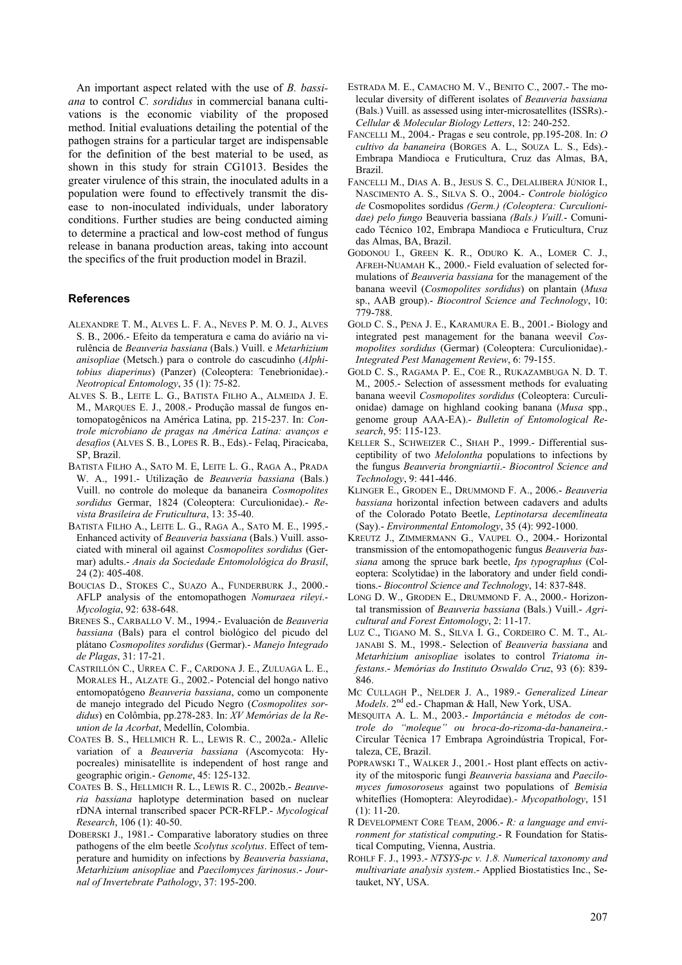An important aspect related with the use of *B. bassiana* to control *C. sordidus* in commercial banana cultivations is the economic viability of the proposed method. Initial evaluations detailing the potential of the pathogen strains for a particular target are indispensable for the definition of the best material to be used, as shown in this study for strain CG1013. Besides the greater virulence of this strain, the inoculated adults in a population were found to effectively transmit the disease to non-inoculated individuals, under laboratory conditions. Further studies are being conducted aiming to determine a practical and low-cost method of fungus release in banana production areas, taking into account the specifics of the fruit production model in Brazil.

#### **References**

- ALEXANDRE T. M., ALVES L. F. A., NEVES P. M. O. J., ALVES S. B., 2006.- Efeito da temperatura e cama do aviário na virulência de *Beauveria bassiana* (Bals.) Vuill. e *Metarhizium anisopliae* (Metsch.) para o controle do cascudinho (*Alphitobius diaperinus*) (Panzer) (Coleoptera: Tenebrionidae).- *Neotropical Entomology*, 35 (1): 75-82.
- ALVES S. B., LEITE L. G., BATISTA FILHO A., ALMEIDA J. E. M., MARQUES E. J., 2008.- Produção massal de fungos entomopatogênicos na América Latina, pp. 215-237. In: *Controle microbiano de pragas na América Latina: avanços e desafios* (ALVES S. B., LOPES R. B., Eds).- Felaq, Piracicaba, SP, Brazil.
- BATISTA FILHO A., SATO M. E, LEITE L. G., RAGA A., PRADA W. A., 1991.- Utilização de *Beauveria bassiana* (Bals.) Vuill. no controle do moleque da bananeira *Cosmopolites sordidus* Germar, 1824 (Coleoptera: Curculionidae).- *Revista Brasileira de Fruticultura*, 13: 35-40.
- BATISTA FILHO A., LEITE L. G., RAGA A., SATO M. E., 1995.- Enhanced activity of *Beauveria bassiana* (Bals.) Vuill. associated with mineral oil against *Cosmopolites sordidus* (Germar) adults.- *Anais da Sociedade Entomolológica do Brasil*,  $24(2)$ : 405-408.
- BOUCIAS D., STOKES C., SUAZO A., FUNDERBURK J., 2000.- AFLP analysis of the entomopathogen *Nomuraea rileyi*.- *Mycologia*, 92: 638-648.
- BRENES S., CARBALLO V. M., 1994.- Evaluación de *Beauveria bassiana* (Bals) para el control biológico del picudo del plátano *Cosmopolites sordidus* (Germar).- *Manejo Integrado de Plagas*, 31: 17-21.
- CASTRILLÓN C., URREA C. F., CARDONA J. E., ZULUAGA L. E., MORALES H., ALZATE G., 2002.- Potencial del hongo nativo entomopatógeno *Beauveria bassiana*, como un componente de manejo integrado del Picudo Negro (*Cosmopolites sordidus*) en Colômbia, pp.278-283. In: *XV Memórias de la Reunion de la Acorbat*, Medellín, Colombia.
- COATES B. S., HELLMICH R. L., LEWIS R. C., 2002a.- Allelic variation of a *Beauveria bassiana* (Ascomycota: Hypocreales) minisatellite is independent of host range and geographic origin.- *Genome*, 45: 125-132.
- COATES B. S., HELLMICH R. L., LEWIS R. C., 2002b.- *Beauveria bassiana* haplotype determination based on nuclear rDNA internal transcribed spacer PCR-RFLP.- *Mycological Research*, 106 (1): 40-50.
- DOBERSKI J., 1981.- Comparative laboratory studies on three pathogens of the elm beetle *Scolytus scolytus*. Effect of temperature and humidity on infections by *Beauveria bassiana*, *Metarhizium anisopliae* and *Paecilomyces farinosus*.- *Journal of Invertebrate Pathology*, 37: 195-200.
- ESTRADA M. E., CAMACHO M. V., BENITO C., 2007.- The molecular diversity of different isolates of *Beauveria bassiana*  (Bals.) Vuill. as assessed using inter-microsatellites (ISSRs).- *Cellular & Molecular Biology Letters*, 12: 240-252.
- FANCELLI M., 2004.- Pragas e seu controle, pp.195-208. In: *O cultivo da bananeira* (BORGES A. L., SOUZA L. S., Eds).- Embrapa Mandioca e Fruticultura, Cruz das Almas, BA, Brazil.
- FANCELLI M., DIAS A. B., JESUS S. C., DELALIBERA JÚNIOR I., NASCIMENTO A. S., SILVA S. O., 2004.- *Controle biológico de* Cosmopolites sordidus *(Germ.) (Coleoptera: Curculionidae) pelo fungo* Beauveria bassiana *(Bals.) Vuill.*- Comunicado Técnico 102, Embrapa Mandioca e Fruticultura, Cruz das Almas, BA, Brazil.
- GODONOU I., GREEN K. R., ODURO K. A., LOMER C. J., AFREH-NUAMAH K., 2000.- Field evaluation of selected formulations of *Beauveria bassiana* for the management of the banana weevil (*Cosmopolites sordidus*) on plantain (*Musa*  sp., AAB group).- *Biocontrol Science and Technology*, 10: 779-788.
- GOLD C. S., PENA J. E., KARAMURA E. B., 2001.- Biology and integrated pest management for the banana weevil *Cosmopolites sordidus* (Germar) (Coleoptera: Curculionidae).- *Integrated Pest Management Review*, 6: 79-155.
- GOLD C. S., RAGAMA P. E., COE R., RUKAZAMBUGA N. D. T. M., 2005.- Selection of assessment methods for evaluating banana weevil *Cosmopolites sordidus* (Coleoptera: Curculionidae) damage on highland cooking banana (*Musa* spp., genome group AAA-EA).- *Bulletin of Entomological Research*, 95: 115-123.
- KELLER S., SCHWEIZER C., SHAH P., 1999.- Differential susceptibility of two *Melolontha* populations to infections by the fungus *Beauveria brongniartii*.- *Biocontrol Science and Technology*, 9: 441-446.
- KLINGER E., GRODEN E., DRUMMOND F. A., 2006.- *Beauveria bassiana* horizontal infection between cadavers and adults of the Colorado Potato Beetle, *Leptinotarsa decemlineata*  (Say).- *Environmental Entomology*, 35 (4): 992-1000.
- KREUTZ J., ZIMMERMANN G., VAUPEL O., 2004.- Horizontal transmission of the entomopathogenic fungus *Beauveria bassiana* among the spruce bark beetle, *Ips typographus* (Coleoptera: Scolytidae) in the laboratory and under field conditions.- *Biocontrol Science and Technology*, 14: 837-848.
- LONG D. W., GRODEN E., DRUMMOND F. A., 2000.- Horizontal transmission of *Beauveria bassiana* (Bals.) Vuill.- *Agricultural and Forest Entomology*, 2: 11-17.
- LUZ C., TIGANO M. S., SILVA I. G., CORDEIRO C. M. T., AL-JANABI S. M., 1998.- Selection of *Beauveria bassiana* and *Metarhizium anisopliae* isolates to control *Triatoma infestans*.- *Memórias do Instituto Oswaldo Cruz*, 93 (6): 839- 846.
- MC CULLAGH P., NELDER J. A., 1989.- *Generalized Linear Models*. 2<sup>nd</sup> ed.- Chapman & Hall, New York, USA.
- MESQUITA A. L. M., 2003.- *Importância e métodos de controle do "moleque" ou broca-do-rizoma-da-bananeira*.- Circular Técnica 17 Embrapa Agroindústria Tropical, Fortaleza, CE, Brazil.
- POPRAWSKI T., WALKER J., 2001.- Host plant effects on activity of the mitosporic fungi *Beauveria bassiana* and *Paecilomyces fumosoroseus* against two populations of *Bemisia* whiteflies (Homoptera: Aleyrodidae).- *Mycopathology*, 151 (1): 11-20.
- R DEVELOPMENT CORE TEAM, 2006.- *R: a language and environment for statistical computing*.- R Foundation for Statistical Computing, Vienna, Austria.
- ROHLF F. J., 1993.- *NTSYS-pc v. 1.8. Numerical taxonomy and multivariate analysis system*.- Applied Biostatistics Inc., Setauket, NY, USA.